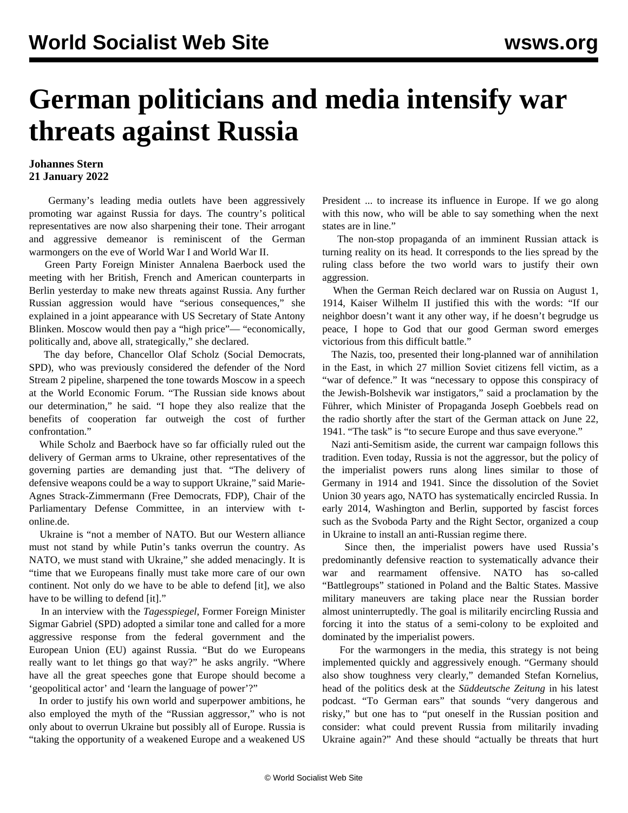## **German politicians and media intensify war threats against Russia**

## **Johannes Stern 21 January 2022**

 Germany's leading media outlets have been aggressively promoting war against Russia for days. The country's political representatives are now also sharpening their tone. Their arrogant and aggressive demeanor is reminiscent of the German warmongers on the eve of World War I and World War II.

 Green Party Foreign Minister Annalena Baerbock used the meeting with her British, French and American counterparts in Berlin yesterday to make new threats against Russia. Any further Russian aggression would have "serious consequences," she explained in a joint appearance with US Secretary of State Antony Blinken. Moscow would then pay a "high price"— "economically, politically and, above all, strategically," she declared.

 The day before, Chancellor Olaf Scholz (Social Democrats, SPD), who was previously considered the defender of the Nord Stream 2 pipeline, sharpened the tone towards Moscow in a speech at the World Economic Forum. "The Russian side knows about our determination," he said. "I hope they also realize that the benefits of cooperation far outweigh the cost of further confrontation."

 While Scholz and Baerbock have so far officially ruled out the delivery of German arms to Ukraine, other representatives of the governing parties are demanding just that. "The delivery of defensive weapons could be a way to support Ukraine," said Marie-Agnes Strack-Zimmermann (Free Democrats, FDP), Chair of the Parliamentary Defense Committee, in an interview with tonline.de.

 Ukraine is "not a member of NATO. But our Western alliance must not stand by while Putin's tanks overrun the country. As NATO, we must stand with Ukraine," she added menacingly. It is "time that we Europeans finally must take more care of our own continent. Not only do we have to be able to defend [it], we also have to be willing to defend [it]."

 In an interview with the *Tagesspiegel*, Former Foreign Minister Sigmar Gabriel (SPD) adopted a similar tone and called for a more aggressive response from the federal government and the European Union (EU) against Russia. "But do we Europeans really want to let things go that way?" he asks angrily. "Where have all the great speeches gone that Europe should become a 'geopolitical actor' and 'learn the language of power'?"

 In order to justify his own world and superpower ambitions, he also employed the myth of the "Russian aggressor," who is not only about to overrun Ukraine but possibly all of Europe. Russia is "taking the opportunity of a weakened Europe and a weakened US President ... to increase its influence in Europe. If we go along with this now, who will be able to say something when the next states are in line."

 The non-stop propaganda of an imminent Russian attack is turning reality on its head. It corresponds to the lies spread by the ruling class before the two world wars to justify their own aggression.

 When the German Reich declared war on Russia on August 1, 1914, Kaiser Wilhelm II justified this with the words: "If our neighbor doesn't want it any other way, if he doesn't begrudge us peace, I hope to God that our good German sword emerges victorious from this difficult battle."

 The Nazis, too, presented their long-planned war of annihilation in the East, in which 27 million Soviet citizens fell victim, as a "war of defence." It was "necessary to oppose this conspiracy of the Jewish-Bolshevik war instigators," said a proclamation by the Führer, which Minister of Propaganda Joseph Goebbels read on the radio shortly after the start of the German attack on June 22, 1941. "The task" is "to secure Europe and thus save everyone."

 Nazi anti-Semitism aside, the current war campaign follows this tradition. Even today, Russia is not the aggressor, but the policy of the imperialist powers runs along lines similar to those of Germany in 1914 and 1941. Since the dissolution of the Soviet Union 30 years ago, NATO has systematically encircled Russia. In early 2014, Washington and Berlin, supported by fascist forces such as the Svoboda Party and the Right Sector, organized a coup in Ukraine to install an anti-Russian regime there.

 Since then, the imperialist powers have used Russia's predominantly defensive reaction to systematically advance their war and rearmament offensive. NATO has so-called "Battlegroups" stationed in Poland and the Baltic States. Massive military maneuvers are taking place near the Russian border almost uninterruptedly. The goal is militarily encircling Russia and forcing it into the status of a semi-colony to be exploited and dominated by the imperialist powers.

 For the warmongers in the media, this strategy is not being implemented quickly and aggressively enough. "Germany should also show toughness very clearly," demanded Stefan Kornelius, head of the politics desk at the *Süddeutsche Zeitung* in his latest podcast. "To German ears" that sounds "very dangerous and risky," but one has to "put oneself in the Russian position and consider: what could prevent Russia from militarily invading Ukraine again?" And these should "actually be threats that hurt